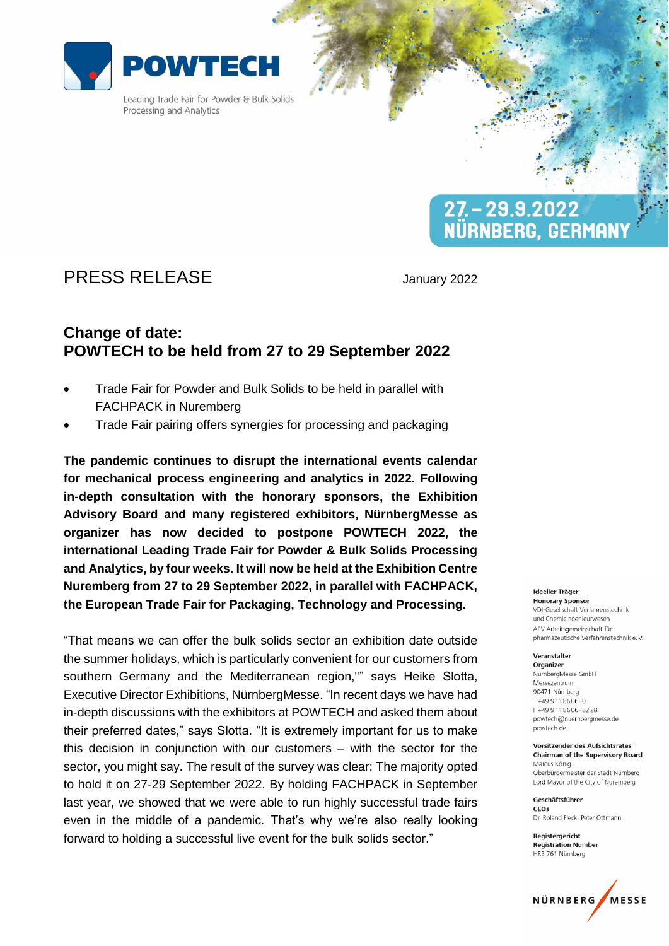

Leading Trade Fair for Powder & Bulk Solids Processing and Analytics

# PRESS RELEASE January 2022

 $27 - 29.9.2022$ 

NÜRNBERG, GERMANY

## **Change of date: POWTECH to be held from 27 to 29 September 2022**

- Trade Fair for Powder and Bulk Solids to be held in parallel with FACHPACK in Nuremberg
- Trade Fair pairing offers synergies for processing and packaging

**The pandemic continues to disrupt the international events calendar for mechanical process engineering and analytics in 2022. Following in-depth consultation with the honorary sponsors, the Exhibition Advisory Board and many registered exhibitors, NürnbergMesse as organizer has now decided to postpone POWTECH 2022, the international Leading Trade Fair for Powder & Bulk Solids Processing and Analytics, by four weeks. It will now be held at the Exhibition Centre Nuremberg from 27 to 29 September 2022, in parallel with FACHPACK, the European Trade Fair for Packaging, Technology and Processing.**

"That means we can offer the bulk solids sector an exhibition date outside the summer holidays, which is particularly convenient for our customers from southern Germany and the Mediterranean region,"" says Heike Slotta, Executive Director Exhibitions, NürnbergMesse. "In recent days we have had in-depth discussions with the exhibitors at POWTECH and asked them about their preferred dates," says Slotta. "It is extremely important for us to make this decision in conjunction with our customers – with the sector for the sector, you might say. The result of the survey was clear: The majority opted to hold it on 27-29 September 2022. By holding FACHPACK in September last year, we showed that we were able to run highly successful trade fairs even in the middle of a pandemic. That's why we're also really looking forward to holding a successful live event for the bulk solids sector."

Ideeller Träger

**Honorary Sponsor** VDI-Gesellschaft Verfahrenstechnik und Chemieingenieurwesen APV Arbeitsgemeinschaft für pharmazeutische Verfahrenstechnik e.V.

#### Veranstalter

Organizer NürnbergMesse GmbH Messezentrum 90471 Nürnberg  $T + 499118606 - 0$ F+499118606-8228 powtech@nuernbergmesse.de powtech.de

Vorsitzender des Aufsichtsrates **Chairman of the Supervisory Board** Marcus König Oberbürgermeister der Stadt Nürnberg Lord Mayor of the City of Nuremberg

Geschäftsführer CEOS Dr. Roland Fleck, Peter Ottmann

Reaisteraericht **Registration Number** HRB 761 Nürnberg

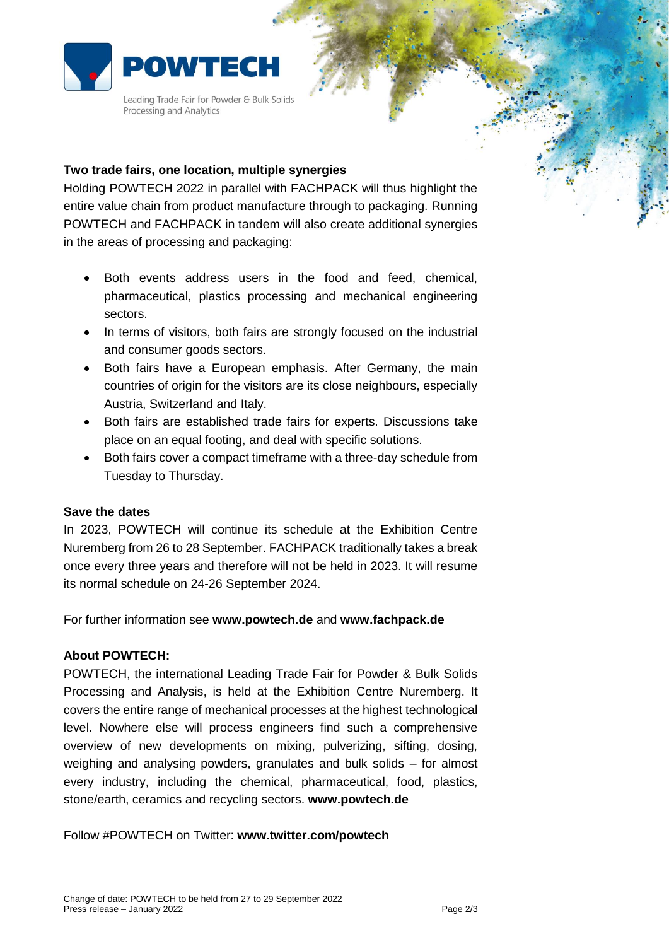

Leading Trade Fair for Powder & Bulk Solids Processing and Analytics

### **Two trade fairs, one location, multiple synergies**

Holding POWTECH 2022 in parallel with FACHPACK will thus highlight the entire value chain from product manufacture through to packaging. Running POWTECH and FACHPACK in tandem will also create additional synergies in the areas of processing and packaging:

- Both events address users in the food and feed, chemical, pharmaceutical, plastics processing and mechanical engineering sectors.
- In terms of visitors, both fairs are strongly focused on the industrial and consumer goods sectors.
- Both fairs have a European emphasis. After Germany, the main countries of origin for the visitors are its close neighbours, especially Austria, Switzerland and Italy.
- Both fairs are established trade fairs for experts. Discussions take place on an equal footing, and deal with specific solutions.
- Both fairs cover a compact timeframe with a three-day schedule from Tuesday to Thursday.

#### **Save the dates**

In 2023, POWTECH will continue its schedule at the Exhibition Centre Nuremberg from 26 to 28 September. FACHPACK traditionally takes a break once every three years and therefore will not be held in 2023. It will resume its normal schedule on 24-26 September 2024.

For further information see **www.powtech.de** and **www.fachpack.de**

#### **About POWTECH:**

POWTECH, the international Leading Trade Fair for Powder & Bulk Solids Processing and Analysis, is held at the Exhibition Centre Nuremberg. It covers the entire range of mechanical processes at the highest technological level. Nowhere else will process engineers find such a comprehensive overview of new developments on mixing, pulverizing, sifting, dosing, weighing and analysing powders, granulates and bulk solids – for almost every industry, including the chemical, pharmaceutical, food, plastics, stone/earth, ceramics and recycling sectors. **www.powtech.de**

Follow #POWTECH on Twitter: **www.twitter.com/powtech**